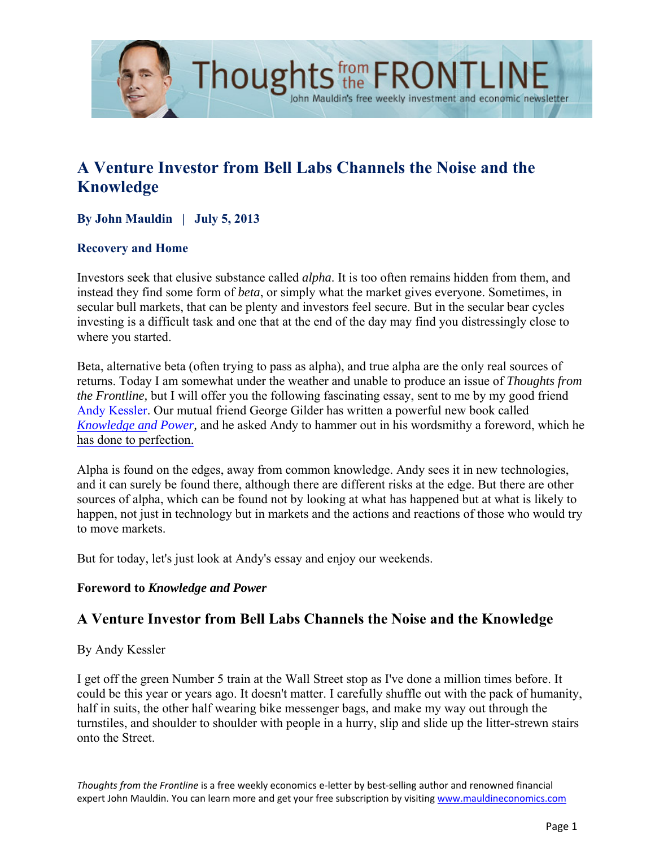

# **A Venture Investor from Bell Labs Channels the Noise and the Knowledge**

John Mauldin's free weekly investment and economic newsletter

### **By John Mauldin | July 5, 2013**

### **Recovery and Home**

Investors seek that elusive substance called *alpha*. It is too often remains hidden from them, and instead they find some form of *beta*, or simply what the market gives everyone. Sometimes, in secular bull markets, that can be plenty and investors feel secure. But in the secular bear cycles investing is a difficult task and one that at the end of the day may find you distressingly close to where you started.

Beta, alternative beta (often trying to pass as alpha), and true alpha are the only real sources of returns. Today I am somewhat under the weather and unable to produce an issue of *Thoughts from the Frontline,* but I will offer you the following fascinating essay, sent to me by my good friend Andy Kessler. Our mutual friend George Gilder has written a powerful new book called *[Knowledge an](http://en.wikipedia.org/wiki/Andy_Kessler_%28author%29)d Power,* and he asked Andy to hammer out in his wordsmithy a foreword, which he [has done to perfection.](http://www.amazon.com/Knowledge-Power-Information-Capitalism-Revolutionizing/dp/1621570274) 

Alpha is found on the edges, away from common knowledge. Andy sees it in new technologies, and it can surely be found there, although there are different risks at the edge. But there are other sources of alpha, which can be found not by looking at what has happened but at what is likely to happen, not just in technology but in markets and the actions and reactions of those who would try to move markets.

But for today, let's just look at Andy's essay and enjoy our weekends.

#### **Foreword to** *Knowledge and Power*

## **A Venture Investor from Bell Labs Channels the Noise and the Knowledge**

By Andy Kessler

I get off the green Number 5 train at the Wall Street stop as I've done a million times before. It could be this year or years ago. It doesn't matter. I carefully shuffle out with the pack of humanity, half in suits, the other half wearing bike messenger bags, and make my way out through the turnstiles, and shoulder to shoulder with people in a hurry, slip and slide up the litter-strewn stairs onto the Street.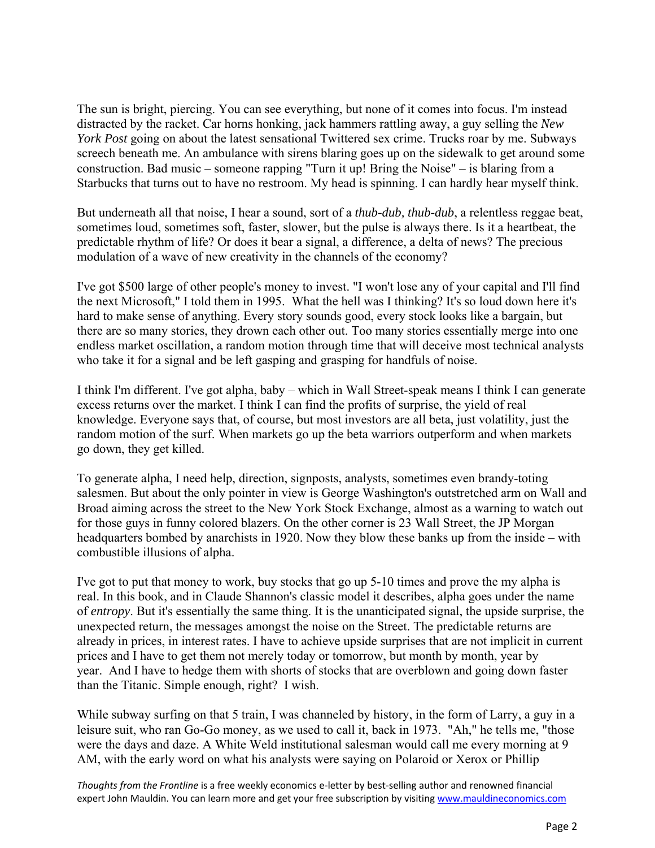The sun is bright, piercing. You can see everything, but none of it comes into focus. I'm instead distracted by the racket. Car horns honking, jack hammers rattling away, a guy selling the *New York Post* going on about the latest sensational Twittered sex crime. Trucks roar by me. Subways screech beneath me. An ambulance with sirens blaring goes up on the sidewalk to get around some construction. Bad music – someone rapping "Turn it up! Bring the Noise" – is blaring from a Starbucks that turns out to have no restroom. My head is spinning. I can hardly hear myself think.

But underneath all that noise, I hear a sound, sort of a *thub-dub, thub-dub*, a relentless reggae beat, sometimes loud, sometimes soft, faster, slower, but the pulse is always there. Is it a heartbeat, the predictable rhythm of life? Or does it bear a signal, a difference, a delta of news? The precious modulation of a wave of new creativity in the channels of the economy?

I've got \$500 large of other people's money to invest. "I won't lose any of your capital and I'll find the next Microsoft," I told them in 1995. What the hell was I thinking? It's so loud down here it's hard to make sense of anything. Every story sounds good, every stock looks like a bargain, but there are so many stories, they drown each other out. Too many stories essentially merge into one endless market oscillation, a random motion through time that will deceive most technical analysts who take it for a signal and be left gasping and grasping for handfuls of noise.

I think I'm different. I've got alpha, baby – which in Wall Street-speak means I think I can generate excess returns over the market. I think I can find the profits of surprise, the yield of real knowledge. Everyone says that, of course, but most investors are all beta, just volatility, just the random motion of the surf. When markets go up the beta warriors outperform and when markets go down, they get killed.

To generate alpha, I need help, direction, signposts, analysts, sometimes even brandy-toting salesmen. But about the only pointer in view is George Washington's outstretched arm on Wall and Broad aiming across the street to the New York Stock Exchange, almost as a warning to watch out for those guys in funny colored blazers. On the other corner is 23 Wall Street, the JP Morgan headquarters bombed by anarchists in 1920. Now they blow these banks up from the inside – with combustible illusions of alpha.

I've got to put that money to work, buy stocks that go up 5-10 times and prove the my alpha is real. In this book, and in Claude Shannon's classic model it describes, alpha goes under the name of *entropy*. But it's essentially the same thing. It is the unanticipated signal, the upside surprise, the unexpected return, the messages amongst the noise on the Street. The predictable returns are already in prices, in interest rates. I have to achieve upside surprises that are not implicit in current prices and I have to get them not merely today or tomorrow, but month by month, year by year. And I have to hedge them with shorts of stocks that are overblown and going down faster than the Titanic. Simple enough, right? I wish.

While subway surfing on that 5 train, I was channeled by history, in the form of Larry, a guy in a leisure suit, who ran Go-Go money, as we used to call it, back in 1973. "Ah," he tells me, "those were the days and daze. A White Weld institutional salesman would call me every morning at 9 AM, with the early word on what his analysts were saying on Polaroid or Xerox or Phillip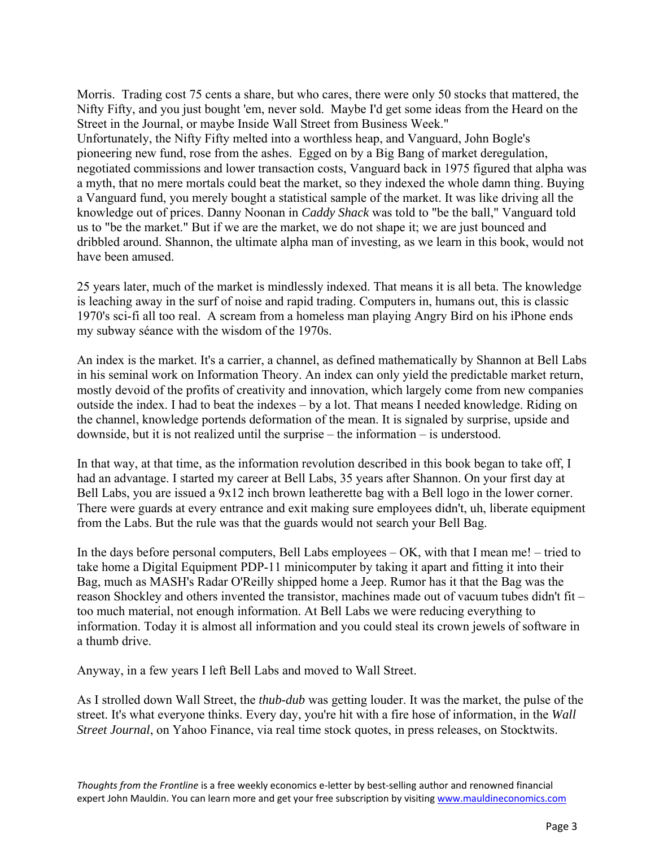Morris. Trading cost 75 cents a share, but who cares, there were only 50 stocks that mattered, the Nifty Fifty, and you just bought 'em, never sold. Maybe I'd get some ideas from the Heard on the Street in the Journal, or maybe Inside Wall Street from Business Week." Unfortunately, the Nifty Fifty melted into a worthless heap, and Vanguard, John Bogle's pioneering new fund, rose from the ashes. Egged on by a Big Bang of market deregulation, negotiated commissions and lower transaction costs, Vanguard back in 1975 figured that alpha was a myth, that no mere mortals could beat the market, so they indexed the whole damn thing. Buying a Vanguard fund, you merely bought a statistical sample of the market. It was like driving all the knowledge out of prices. Danny Noonan in *Caddy Shack* was told to "be the ball," Vanguard told us to "be the market." But if we are the market, we do not shape it; we are just bounced and dribbled around. Shannon, the ultimate alpha man of investing, as we learn in this book, would not have been amused.

25 years later, much of the market is mindlessly indexed. That means it is all beta. The knowledge is leaching away in the surf of noise and rapid trading. Computers in, humans out, this is classic 1970's sci-fi all too real. A scream from a homeless man playing Angry Bird on his iPhone ends my subway séance with the wisdom of the 1970s.

An index is the market. It's a carrier, a channel, as defined mathematically by Shannon at Bell Labs in his seminal work on Information Theory. An index can only yield the predictable market return, mostly devoid of the profits of creativity and innovation, which largely come from new companies outside the index. I had to beat the indexes – by a lot. That means I needed knowledge. Riding on the channel, knowledge portends deformation of the mean. It is signaled by surprise, upside and downside, but it is not realized until the surprise – the information – is understood.

In that way, at that time, as the information revolution described in this book began to take off, I had an advantage. I started my career at Bell Labs, 35 years after Shannon. On your first day at Bell Labs, you are issued a 9x12 inch brown leatherette bag with a Bell logo in the lower corner. There were guards at every entrance and exit making sure employees didn't, uh, liberate equipment from the Labs. But the rule was that the guards would not search your Bell Bag.

In the days before personal computers, Bell Labs employees – OK, with that I mean me! – tried to take home a Digital Equipment PDP-11 minicomputer by taking it apart and fitting it into their Bag, much as MASH's Radar O'Reilly shipped home a Jeep. Rumor has it that the Bag was the reason Shockley and others invented the transistor, machines made out of vacuum tubes didn't fit – too much material, not enough information. At Bell Labs we were reducing everything to information. Today it is almost all information and you could steal its crown jewels of software in a thumb drive.

Anyway, in a few years I left Bell Labs and moved to Wall Street.

As I strolled down Wall Street, the *thub-dub* was getting louder. It was the market, the pulse of the street. It's what everyone thinks. Every day, you're hit with a fire hose of information, in the *Wall Street Journal*, on Yahoo Finance, via real time stock quotes, in press releases, on Stocktwits.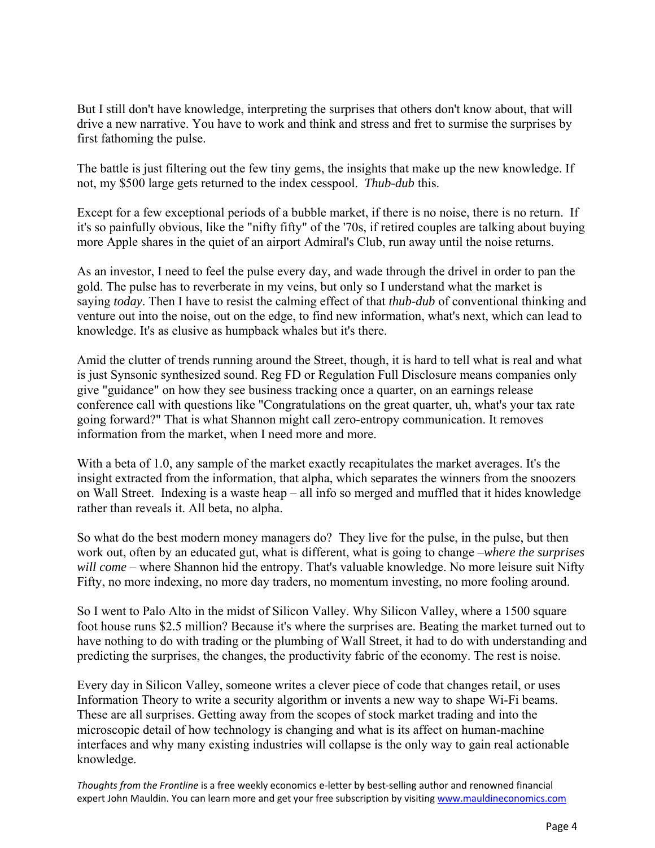But I still don't have knowledge, interpreting the surprises that others don't know about, that will drive a new narrative. You have to work and think and stress and fret to surmise the surprises by first fathoming the pulse.

The battle is just filtering out the few tiny gems, the insights that make up the new knowledge. If not, my \$500 large gets returned to the index cesspool. *Thub-dub* this.

Except for a few exceptional periods of a bubble market, if there is no noise, there is no return. If it's so painfully obvious, like the "nifty fifty" of the '70s, if retired couples are talking about buying more Apple shares in the quiet of an airport Admiral's Club, run away until the noise returns.

As an investor, I need to feel the pulse every day, and wade through the drivel in order to pan the gold. The pulse has to reverberate in my veins, but only so I understand what the market is saying *today*. Then I have to resist the calming effect of that *thub-dub* of conventional thinking and venture out into the noise, out on the edge, to find new information, what's next, which can lead to knowledge. It's as elusive as humpback whales but it's there.

Amid the clutter of trends running around the Street, though, it is hard to tell what is real and what is just Synsonic synthesized sound. Reg FD or Regulation Full Disclosure means companies only give "guidance" on how they see business tracking once a quarter, on an earnings release conference call with questions like "Congratulations on the great quarter, uh, what's your tax rate going forward?" That is what Shannon might call zero-entropy communication. It removes information from the market, when I need more and more.

With a beta of 1.0, any sample of the market exactly recapitulates the market averages. It's the insight extracted from the information, that alpha, which separates the winners from the snoozers on Wall Street. Indexing is a waste heap – all info so merged and muffled that it hides knowledge rather than reveals it. All beta, no alpha.

So what do the best modern money managers do? They live for the pulse, in the pulse, but then work out, often by an educated gut, what is different, what is going to change –*where the surprises will come* – where Shannon hid the entropy. That's valuable knowledge. No more leisure suit Nifty Fifty, no more indexing, no more day traders, no momentum investing, no more fooling around.

So I went to Palo Alto in the midst of Silicon Valley. Why Silicon Valley, where a 1500 square foot house runs \$2.5 million? Because it's where the surprises are. Beating the market turned out to have nothing to do with trading or the plumbing of Wall Street, it had to do with understanding and predicting the surprises, the changes, the productivity fabric of the economy. The rest is noise.

Every day in Silicon Valley, someone writes a clever piece of code that changes retail, or uses Information Theory to write a security algorithm or invents a new way to shape Wi-Fi beams. These are all surprises. Getting away from the scopes of stock market trading and into the microscopic detail of how technology is changing and what is its affect on human-machine interfaces and why many existing industries will collapse is the only way to gain real actionable knowledge.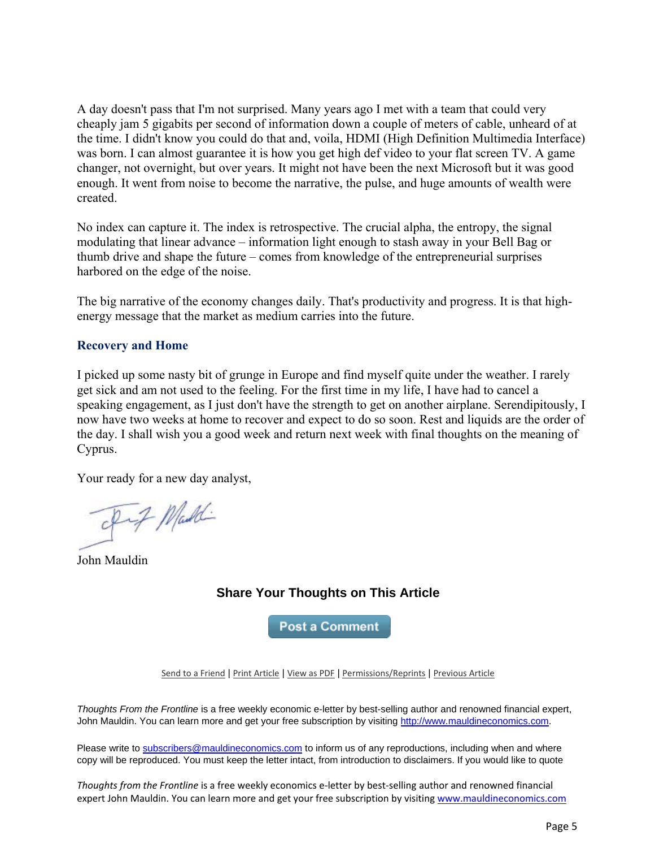A day doesn't pass that I'm not surprised. Many years ago I met with a team that could very cheaply jam 5 gigabits per second of information down a couple of meters of cable, unheard of at the time. I didn't know you could do that and, voila, HDMI (High Definition Multimedia Interface) was born. I can almost guarantee it is how you get high def video to your flat screen TV. A game changer, not overnight, but over years. It might not have been the next Microsoft but it was good enough. It went from noise to become the narrative, the pulse, and huge amounts of wealth were created.

No index can capture it. The index is retrospective. The crucial alpha, the entropy, the signal modulating that linear advance – information light enough to stash away in your Bell Bag or thumb drive and shape the future – comes from knowledge of the entrepreneurial surprises harbored on the edge of the noise.

The big narrative of the economy changes daily. That's productivity and progress. It is that highenergy message that the market as medium carries into the future.

#### **Recovery and Home**

I picked up some nasty bit of grunge in Europe and find myself quite under the weather. I rarely get sick and am not used to the feeling. For the first time in my life, I have had to cancel a speaking engagement, as I just don't have the strength to get on another airplane. Serendipitously, I now have two weeks at home to recover and expect to do so soon. Rest and liquids are the order of the day. I shall wish you a good week and return next week with final thoughts on the meaning of Cyprus.

Your ready for a new day analyst,

- I-7 Maddi

John Mauldin

## **Share Your Thoughts on This Article**

**Post a Comment** 

[Send to a Friend](http://ce.frontlinethoughts.com/CT00017301MTUzNTQ2.html) | [Print Article](http://ce.frontlinethoughts.com/CT00017301MTUzNTQ2.html) | [View as PDF](http://ce.frontlinethoughts.com/CT00017302MTUzNTQ2.html) | [Permissions/Reprints](http://www.frontlinethoughts.com/contact) | [Previous Article](http://ce.frontlinethoughts.com/CT00017305MTUzNTQ2.html)

*Thoughts From the Frontline* is a free weekly economic e-letter by best-selling author and renowned financial expert, John Mauldin. You can learn more and get your free subscription by visitin[g http://www.mauldineconomics.com.](http://www.mauldineconomics.com/)

Please write to [subscribers@mauldineconomics.com](mailto:subscribers@mauldineconomics.com) to inform us of any reproductions, including when and where copy will be reproduced. You must keep the letter intact, from introduction to disclaimers. If you would like to quote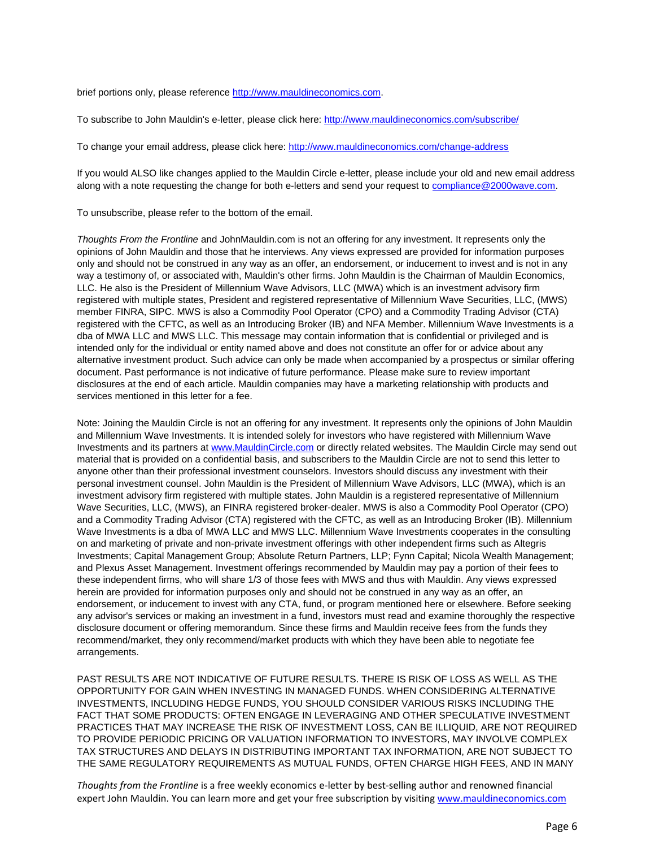brief portions only, please reference [http://www.mauldineconomics.com.](http://www.mauldineconomics.com/)

To subscribe to John Mauldin's e-letter, please click here:<http://www.mauldineconomics.com/subscribe/>

To change your email address, please click here: <http://www.mauldineconomics.com/change-address>

If you would ALSO like changes applied to the Mauldin Circle e-letter, please include your old and new email address along with a note requesting the change for both e-letters and send your request to compliance@2000wave.com.

To unsubscribe, please refer to the bottom of the email.

*Thoughts From the Frontline* and JohnMauldin.com is not an offering for any investment. It represents only the opinions of John Mauldin and those that he interviews. Any views expressed are provided for information purposes only and should not be construed in any way as an offer, an endorsement, or inducement to invest and is not in any way a testimony of, or associated with, Mauldin's other firms. John Mauldin is the Chairman of Mauldin Economics, LLC. He also is the President of Millennium Wave Advisors, LLC (MWA) which is an investment advisory firm registered with multiple states, President and registered representative of Millennium Wave Securities, LLC, (MWS) member FINRA, SIPC. MWS is also a Commodity Pool Operator (CPO) and a Commodity Trading Advisor (CTA) registered with the CFTC, as well as an Introducing Broker (IB) and NFA Member. Millennium Wave Investments is a dba of MWA LLC and MWS LLC. This message may contain information that is confidential or privileged and is intended only for the individual or entity named above and does not constitute an offer for or advice about any alternative investment product. Such advice can only be made when accompanied by a prospectus or similar offering document. Past performance is not indicative of future performance. Please make sure to review important disclosures at the end of each article. Mauldin companies may have a marketing relationship with products and services mentioned in this letter for a fee.

Note: Joining the Mauldin Circle is not an offering for any investment. It represents only the opinions of John Mauldin and Millennium Wave Investments. It is intended solely for investors who have registered with Millennium Wave Investments and its partners a[t www.MauldinCircle.com](http://www.mauldincircle.com/) or directly related websites. The Mauldin Circle may send out material that is provided on a confidential basis, and subscribers to the Mauldin Circle are not to send this letter to anyone other than their professional investment counselors. Investors should discuss any investment with their personal investment counsel. John Mauldin is the President of Millennium Wave Advisors, LLC (MWA), which is an investment advisory firm registered with multiple states. John Mauldin is a registered representative of Millennium Wave Securities, LLC, (MWS), an FINRA registered broker-dealer. MWS is also a Commodity Pool Operator (CPO) and a Commodity Trading Advisor (CTA) registered with the CFTC, as well as an Introducing Broker (IB). Millennium Wave Investments is a dba of MWA LLC and MWS LLC. Millennium Wave Investments cooperates in the consulting on and marketing of private and non-private investment offerings with other independent firms such as Altegris Investments; Capital Management Group; Absolute Return Partners, LLP; Fynn Capital; Nicola Wealth Management; and Plexus Asset Management. Investment offerings recommended by Mauldin may pay a portion of their fees to these independent firms, who will share 1/3 of those fees with MWS and thus with Mauldin. Any views expressed herein are provided for information purposes only and should not be construed in any way as an offer, an endorsement, or inducement to invest with any CTA, fund, or program mentioned here or elsewhere. Before seeking any advisor's services or making an investment in a fund, investors must read and examine thoroughly the respective disclosure document or offering memorandum. Since these firms and Mauldin receive fees from the funds they recommend/market, they only recommend/market products with which they have been able to negotiate fee arrangements.

PAST RESULTS ARE NOT INDICATIVE OF FUTURE RESULTS. THERE IS RISK OF LOSS AS WELL AS THE OPPORTUNITY FOR GAIN WHEN INVESTING IN MANAGED FUNDS. WHEN CONSIDERING ALTERNATIVE INVESTMENTS, INCLUDING HEDGE FUNDS, YOU SHOULD CONSIDER VARIOUS RISKS INCLUDING THE FACT THAT SOME PRODUCTS: OFTEN ENGAGE IN LEVERAGING AND OTHER SPECULATIVE INVESTMENT PRACTICES THAT MAY INCREASE THE RISK OF INVESTMENT LOSS, CAN BE ILLIQUID, ARE NOT REQUIRED TO PROVIDE PERIODIC PRICING OR VALUATION INFORMATION TO INVESTORS, MAY INVOLVE COMPLEX TAX STRUCTURES AND DELAYS IN DISTRIBUTING IMPORTANT TAX INFORMATION, ARE NOT SUBJECT TO THE SAME REGULATORY REQUIREMENTS AS MUTUAL FUNDS, OFTEN CHARGE HIGH FEES, AND IN MANY